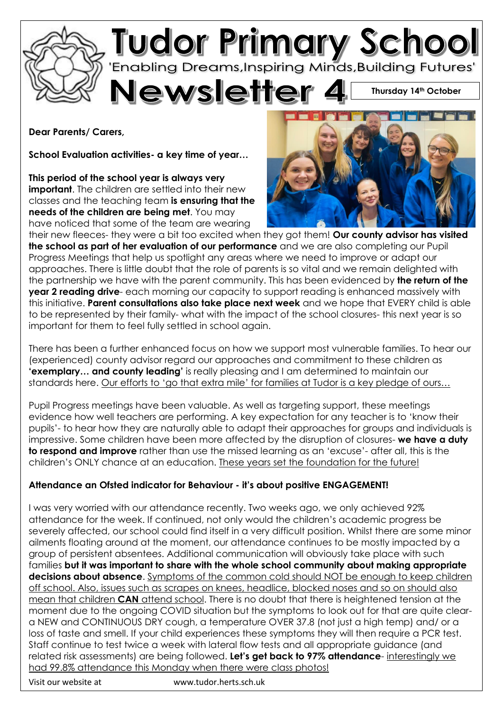

**Dear Parents/ Carers,**

**School Evaluation activities- a key time of year…**

**This period of the school year is always very important**. The children are settled into their new classes and the teaching team **is ensuring that the needs of the children are being met**. You may have noticed that some of the team are wearing



**Thursday 14th October**

their new fleeces- they were a bit too excited when they got them! **Our county advisor has visited the school as part of her evaluation of our performance** and we are also completing our Pupil Progress Meetings that help us spotlight any areas where we need to improve or adapt our approaches. There is little doubt that the role of parents is so vital and we remain delighted with the partnership we have with the parent community. This has been evidenced by **the return of the year 2 reading drive**- each morning our capacity to support reading is enhanced massively with this initiative. **Parent consultations also take place next week** and we hope that EVERY child is able to be represented by their family- what with the impact of the school closures- this next year is so important for them to feel fully settled in school again.

There has been a further enhanced focus on how we support most vulnerable families. To hear our (experienced) county advisor regard our approaches and commitment to these children as **'exemplary… and county leading'** is really pleasing and I am determined to maintain our standards here. Our efforts to 'go that extra mile' for families at Tudor is a key pledge of ours…

Pupil Progress meetings have been valuable. As well as targeting support, these meetings evidence how well teachers are performing. A key expectation for any teacher is to 'know their pupils'- to hear how they are naturally able to adapt their approaches for groups and individuals is impressive. Some children have been more affected by the disruption of closures- **we have a duty to respond and improve** rather than use the missed learning as an 'excuse'- after all, this is the children's ONLY chance at an education. These years set the foundation for the future!

## **Attendance an Ofsted indicator for Behaviour - it's about positive ENGAGEMENT!**

I was very worried with our attendance recently. Two weeks ago, we only achieved 92% attendance for the week. If continued, not only would the children's academic progress be severely affected, our school could find itself in a very difficult position. Whilst there are some minor ailments floating around at the moment, our attendance continues to be mostly impacted by a group of persistent absentees. Additional communication will obviously take place with such families **but it was important to share with the whole school community about making appropriate decisions about absence**. Symptoms of the common cold should NOT be enough to keep children off school. Also, issues such as scrapes on knees, headlice, blocked noses and so on should also mean that children **CAN** attend school. There is no doubt that there is heightened tension at the moment due to the ongoing COVID situation but the symptoms to look out for that are quite cleara NEW and CONTINUOUS DRY cough, a temperature OVER 37.8 (not just a high temp) and/ or a loss of taste and smell. If your child experiences these symptoms they will then require a PCR test. Staff continue to test twice a week with lateral flow tests and all appropriate guidance (and related risk assessments) are being followed. **Let's get back to 97% attendance**- interestingly we had 99.8% attendance this Monday when there were class photos!

Visit our website at www.tudor.herts.sch.uk